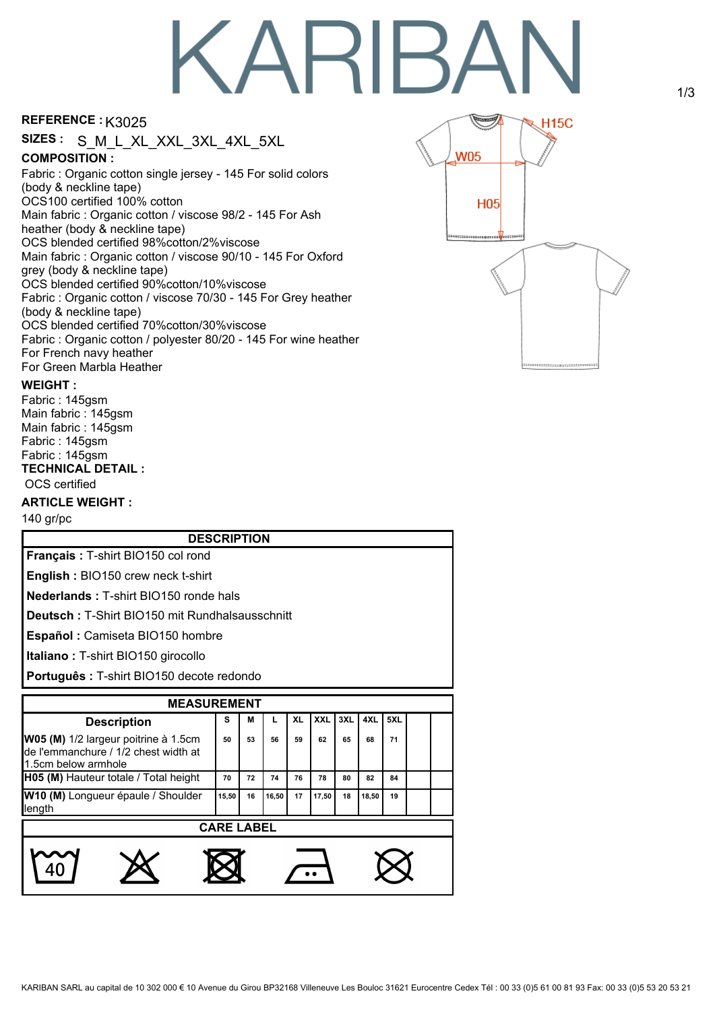# **KARIBA**

# REFERENCE : K3025

**COMPOSITION :** Fabric : Organic cotton single jersey - 145 For solid colors (body & neckline tape) OCS100 certified 100% cotton Main fabric : Organic cotton / viscose 98/2 - 145 For Ash heather (body & neckline tape) OCS blended certified 98%cotton/2%viscose Main fabric : Organic cotton / viscose 90/10 - 145 For Oxford grey (body & neckline tape) OCS blended certified 90%cotton/10%viscose Fabric : Organic cotton / viscose 70/30 - 145 For Grey heather (body & neckline tape) OCS blended certified 70%cotton/30%viscose Fabric : Organic cotton / polyester 80/20 - 145 For wine heather For French navy heather For Green Marbla Heather **SIZES :** S\_M\_L\_XL\_XXL\_3XL\_4XL\_5XL



### **WEIGHT :**

**TECHNICAL DETAIL :** OCS certified Fabric : 145gsm Main fabric : 145gsm Main fabric : 145gsm Fabric : 145gsm Fabric : 145gsm

# **ARTICLE WEIGHT :**

140 gr/pc

| <b>DESCRIPTION</b>                                                                                  |       |    |       |           |            |     |       |     |  |  |
|-----------------------------------------------------------------------------------------------------|-------|----|-------|-----------|------------|-----|-------|-----|--|--|
| <b>Français: T-shirt BIO150 col rond</b>                                                            |       |    |       |           |            |     |       |     |  |  |
| English: BIO150 crew neck t-shirt                                                                   |       |    |       |           |            |     |       |     |  |  |
| <b>Nederlands: T-shirt BIO150 ronde hals</b>                                                        |       |    |       |           |            |     |       |     |  |  |
| <b>Deutsch: T-Shirt BIO150 mit Rundhalsausschnitt</b>                                               |       |    |       |           |            |     |       |     |  |  |
| Español: Camiseta BIO150 hombre                                                                     |       |    |       |           |            |     |       |     |  |  |
| <b>Italiano: T-shirt BIO150 girocollo</b>                                                           |       |    |       |           |            |     |       |     |  |  |
| Português : T-shirt BIO150 decote redondo                                                           |       |    |       |           |            |     |       |     |  |  |
|                                                                                                     |       |    |       |           |            |     |       |     |  |  |
| <b>MEASUREMENT</b>                                                                                  |       |    |       |           |            |     |       |     |  |  |
| <b>Description</b>                                                                                  | s     | м  | L.    | <b>XL</b> | <b>XXL</b> | 3XL | 4XL   | 5XL |  |  |
| W05 (M) 1/2 largeur poitrine à 1.5cm<br>de l'emmanchure / 1/2 chest width at<br>1.5cm below armhole | 50    | 53 | 56    | 59        | 62         | 65  | 68    | 71  |  |  |
| H05 (M) Hauteur totale / Total height                                                               | 70    | 72 | 74    | 76        | 78         | 80  | 82    | 84  |  |  |
| W10 (M) Longueur épaule / Shoulder<br>length                                                        | 15.50 | 16 | 16.50 | 17        | 17,50      | 18  | 18,50 | 19  |  |  |
| <b>CARE LABEL</b>                                                                                   |       |    |       |           |            |     |       |     |  |  |
|                                                                                                     |       |    |       |           |            |     |       |     |  |  |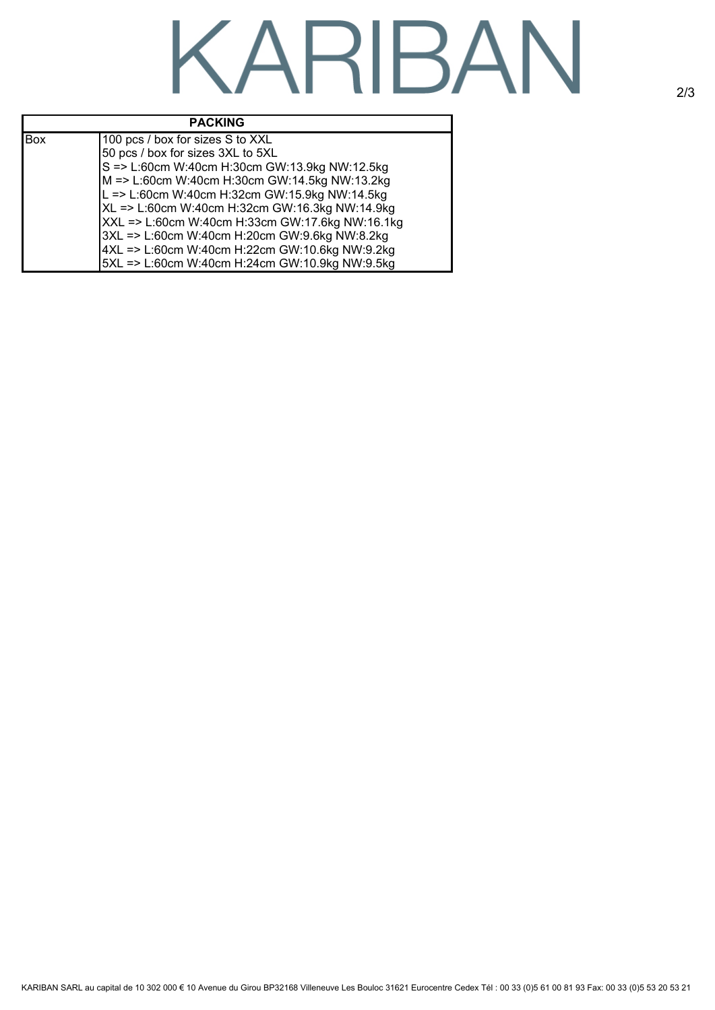# KARIBAN

### **PACKING**

Г

| Box | 100 pcs / box for sizes S to XXL                |
|-----|-------------------------------------------------|
|     | 50 pcs / box for sizes 3XL to 5XL               |
|     | S => L:60cm W:40cm H:30cm GW:13.9kg NW:12.5kg   |
|     | M => L:60cm W:40cm H:30cm GW:14.5kg NW:13.2kg   |
|     | L => L:60cm W:40cm H:32cm GW:15.9kg NW:14.5kg   |
|     | XL => L:60cm W:40cm H:32cm GW:16.3kg NW:14.9kg  |
|     | XXL => L:60cm W:40cm H:33cm GW:17.6kg NW:16.1kg |
|     | 3XL => L:60cm W:40cm H:20cm GW:9.6kg NW:8.2kg   |
|     | 4XL => L:60cm W:40cm H:22cm GW:10.6kg NW:9.2kg  |
|     | 5XL => L:60cm W:40cm H:24cm GW:10.9kg NW:9.5kg  |